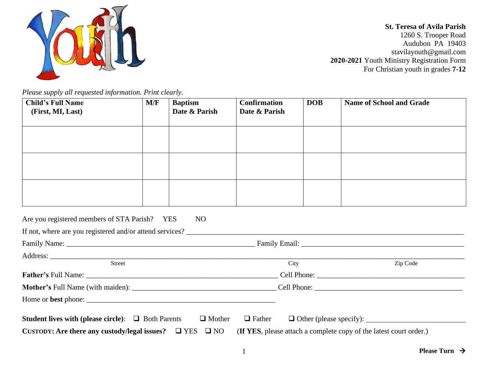

**St. Teresa of Avila Parish**  1260 S. Trooper Road Audubon PA 19403 stavilayouth@gmail.com **2020-2021** Youth Ministry Registration Form For Christian youth in grades **7-12**

*Please supply all requested information. Print clearly.* 

| <b>Child's Full Name</b><br>(First, MI, Last)                  | M/F | <b>Baptism</b><br>Date & Parish | <b>Confirmation</b><br>Date & Parish | <b>DOB</b> | <b>Name of School and Grade</b> |  |
|----------------------------------------------------------------|-----|---------------------------------|--------------------------------------|------------|---------------------------------|--|
|                                                                |     |                                 |                                      |            |                                 |  |
|                                                                |     |                                 |                                      |            |                                 |  |
|                                                                |     |                                 |                                      |            |                                 |  |
| Are you registered members of STA Parish? YES                  |     | N <sub>O</sub>                  |                                      |            |                                 |  |
|                                                                |     |                                 |                                      |            |                                 |  |
|                                                                |     |                                 |                                      |            |                                 |  |
|                                                                |     |                                 |                                      |            |                                 |  |
| <b>Street</b>                                                  |     |                                 | City                                 |            | Zip Code                        |  |
|                                                                |     |                                 |                                      |            |                                 |  |
|                                                                |     |                                 |                                      |            |                                 |  |
|                                                                |     |                                 |                                      |            |                                 |  |
| <b>Student lives with (please circle):</b> $\Box$ Both Parents |     | $\Box$ Mother                   | $\Box$ Father                        |            |                                 |  |

**CUSTODY: Are there any custody/legal issues?** ❑ YES ❑ NO (**If YES**, please attach a complete copy of the latest court order.)